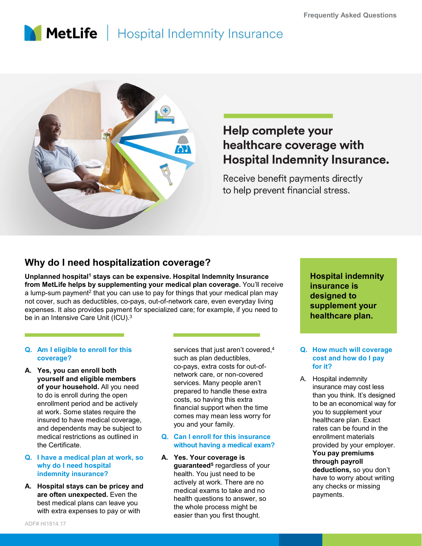# MetLife | Hospital Indemnity Insurance



## Help complete your healthcare coverage with **Hospital Indemnity Insurance.**

#### Why do I need hospitalization coverage?

May do I need hospitalization coverage?<br>
Unplanned hospital<sup>1</sup> stays can be expensive. Hospital Indemnity Insurance<br>
from MetLife helps by supplementing your medical plan coverage. You'll ratump-sum payment<sup>2</sup> that you can Computer in the sphere of sphericular states and the experience in the experience of such as a medical plan at work are, such as a medical plan at work are, such as land at work and expenses. It also provides payment for Unplanned hospital<sup>1</sup> stays can be expensive. Hospital Indemnity Insurance <mark>Hosp</mark> from MetLife helps by supplementing your medical plan coverage. You'll receive a lump-sum payment<sup>2</sup> that you can use to pay for things that your medical plan may  $\overline{a}$ not cover, such as deductibles, co-pays, out-of-network care, even everyday living expenses. It also provides payment for specialized care; for example, if you need to be in an Intensive Care Unit (ICU).<sup>3</sup>

## coverage?

yourself and eligible members of your household. All you need to do is enroll during the open enrollment period and be actively at work. Some states require the insured to have medical coverage, and dependents may be subject to the Certificate. expenses. It also provides payment for specialized care; for example, if you ne<br>
be in an Intensive Care Unit (ICU).<sup>3</sup><br> **Q.** Am I eligible to enroll for this<br>
services that just aren't cover<br>
such as plan deductibles,<br> **A** 

#### why do I need hospital indemnity insurance?

are often unexpected. Even the best medical plans can leave you with extra expenses to pay or with

services that just aren't covered, $4$  Q. How much will coverage such as plan deductibles, co-pays, extra costs for out-ofnetwork care, or non-covered<br>example a service and the Hospital indemnity services. Many people aren't prepared to handle these extra costs, so having this extra financial support when the time comes may mean less worry for you and your family.

#### medical restrictions as outlined in **Q. Can I enroll for this insurance** without having a medical exam?

guaranteed<sup>5</sup> regardless of your health. You just need to be actively at work. There are no medical exams to take and no health questions to answer, so the whole process might be easier than you first thought.

Hospital indemnity insurance is designed to supplement your healthcare plan. Framerical stress.<br>
Hospital indemnity<br>
insurance is<br>
designed to<br>
supplement your<br>
healthcare plan.<br>
Q. How much will coverage<br>
cost and how do I pay<br>
for it?<br>
A. Hospital indemnity<br>
insurance may cost less

### cost and how do I pay for it?

COVETAGE?<br>
Youthouth insurance insurance is<br>
for things that your medical plan and coverage. You'll receive<br>
of J-network care, even everyday living<br>
alized care; for example, if you need to<br>
supplement your<br>
services that For things that internal the total and the search of the search of the search of the search of the search of the search of the search of the search of the search of the search of the search of the search of the search of t **Hospital indemnity<br>
insurance is<br>
designed to<br>
supplement your<br>
healthcare plan.<br>
Q. How much will coverage<br>
cost and how do I pay<br>
for it?<br>
A. Hospital indemnity<br>
insurance may cost less<br>
than you think. It's designed<br>
t** insurance may cost less than you think. It's designed to be an economical way for you to supplement your healthcare plan. Exact rates can be found in the enrollment materials provided by your employer. You pay premiums through payroll deductions, so you don't have to worry about writing any checks or missing payments.